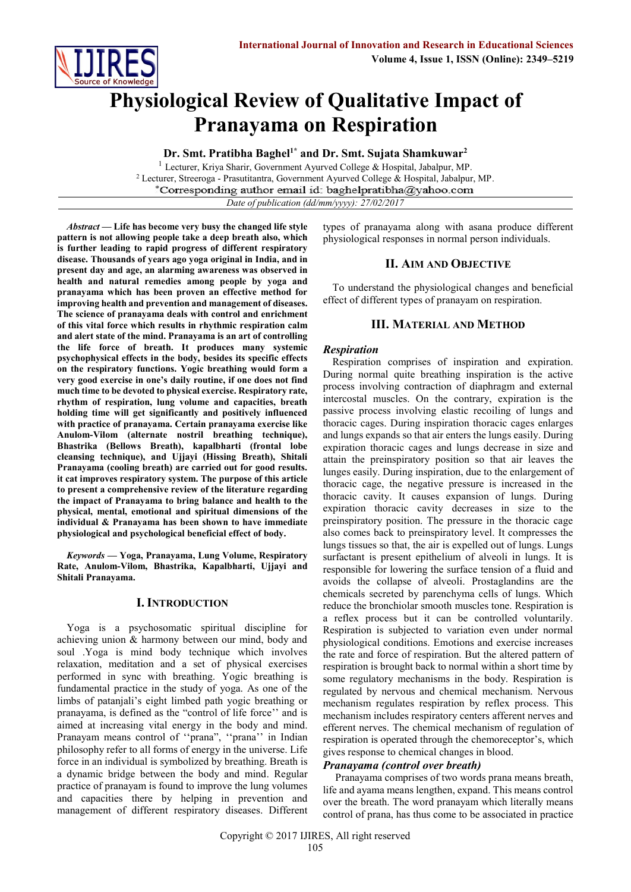

# **Physiological Review of Qualitative Impact of Pranayama on Respiration**

**Dr. Smt. Pratibha Baghel1\* and Dr. Smt. Sujata Shamkuwar<sup>2</sup>**

<sup>1</sup> Lecturer, Kriya Sharir, Government Ayurved College & Hospital, Jabalpur, MP. <sup>2</sup> Lecturer, Streeroga - Prasutitantra, Government Ayurved College & Hospital, Jabalpur, MP. \*Corresponding author email id: baghelpratibha@yahoo.com

*Date of publication (dd/mm/yyyy): 27/02/2017*

*Abstract —* **Life has become very busy the changed life style pattern is not allowing people take a deep breath also, which is further leading to rapid progress of different respiratory disease. Thousands of years ago yoga original in India, and in present day and age, an alarming awareness was observed in health and natural remedies among people by yoga and pranayama which has been proven an effective method for improving health and prevention and management of diseases. The science of pranayama deals with control and enrichment of this vital force which results in rhythmic respiration calm and alert state of the mind. Pranayama is an art of controlling the life force of breath. It produces many systemic psychophysical effects in the body, besides its specific effects on the respiratory functions. Yogic breathing would form a very good exercise in one's daily routine, if one does not find much time to be devoted to physical exercise. Respiratory rate, rhythm of respiration, lung volume and capacities, breath holding time will get significantly and positively influenced with practice of pranayama. Certain pranayama exercise like Anulom-Vilom (alternate nostril breathing technique), Bhastrika (Bellows Breath), kapalbharti (frontal lobe cleansing technique), and Ujjayi (Hissing Breath), Shitali Pranayama (cooling breath) are carried out for good results. it cat improves respiratory system. The purpose of this article to present a comprehensive review of the literature regarding the impact of Pranayama to bring balance and health to the physical, mental, emotional and spiritual dimensions of the individual & Pranayama has been shown to have immediate physiological and psychological beneficial effect of body.**

*Keywords —* **Yoga, Pranayama, Lung Volume, Respiratory Rate, Anulom-Vilom, Bhastrika, Kapalbharti, Ujjayi and Shitali Pranayama.**

### **I. INTRODUCTION**

Yoga is a psychosomatic spiritual discipline for achieving union & harmony between our mind, body and soul .Yoga is mind body technique which involves relaxation, meditation and a set of physical exercises performed in sync with breathing. Yogic breathing is fundamental practice in the study of yoga. As one of the limbs of patanjali's eight limbed path yogic breathing or pranayama, is defined as the "control of life force'' and is aimed at increasing vital energy in the body and mind. Pranayam means control of ''prana", ''prana'' in Indian philosophy refer to all forms of energy in the universe. Life force in an individual is symbolized by breathing. Breath is a dynamic bridge between the body and mind. Regular practice of pranayam is found to improve the lung volumes and capacities there by helping in prevention and management of different respiratory diseases. Different

types of pranayama along with asana produce different physiological responses in normal person individuals.

### **II. AIM AND OBJECTIVE**

To understand the physiological changes and beneficial effect of different types of pranayam on respiration.

## **III. MATERIAL AND METHOD**

### *Respiration*

Respiration comprises of inspiration and expiration. During normal quite breathing inspiration is the active process involving contraction of diaphragm and external intercostal muscles. On the contrary, expiration is the passive process involving elastic recoiling of lungs and thoracic cages. During inspiration thoracic cages enlarges and lungs expands so that air enters the lungs easily. During expiration thoracic cages and lungs decrease in size and attain the preinspiratory position so that air leaves the lunges easily. During inspiration, due to the enlargement of thoracic cage, the negative pressure is increased in the thoracic cavity. It causes expansion of lungs. During expiration thoracic cavity decreases in size to the preinspiratory position. The pressure in the thoracic cage also comes back to preinspiratory level. It compresses the lungs tissues so that, the air is expelled out of lungs. Lungs surfactant is present epithelium of alveoli in lungs. It is responsible for lowering the surface tension of a fluid and avoids the collapse of alveoli. Prostaglandins are the chemicals secreted by parenchyma cells of lungs. Which reduce the bronchiolar smooth muscles tone. Respiration is a reflex process but it can be controlled voluntarily. Respiration is subjected to variation even under normal physiological conditions. Emotions and exercise increases the rate and force of respiration. But the altered pattern of respiration is brought back to normal within a short time by some regulatory mechanisms in the body. Respiration is regulated by nervous and chemical mechanism. Nervous mechanism regulates respiration by reflex process. This mechanism includes respiratory centers afferent nerves and efferent nerves. The chemical mechanism of regulation of respiration is operated through the chemoreceptor's, which gives response to chemical changes in blood.

## *Pranayama (control over breath)*

Pranayama comprises of two words prana means breath, life and ayama means lengthen, expand. This means control over the breath. The word pranayam which literally means control of prana, has thus come to be associated in practice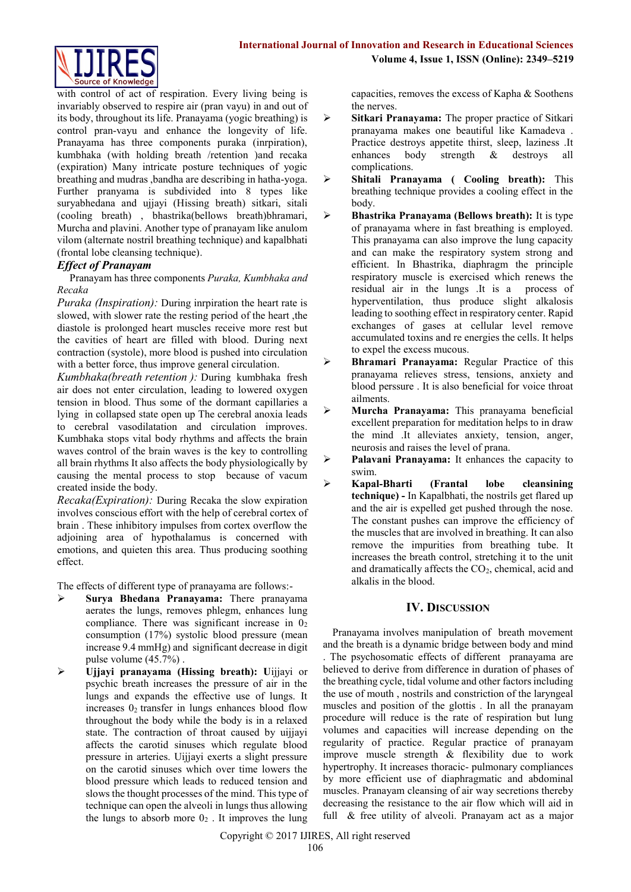

with control of act of respiration. Every living being is invariably observed to respire air (pran vayu) in and out of its body, throughout its life. Pranayama (yogic breathing) is control pran-vayu and enhance the longevity of life. Pranayama has three components puraka (inrpiration), kumbhaka (with holding breath /retention )and recaka (expiration) Many intricate posture techniques of yogic breathing and mudras ,bandha are describing in hatha-yoga. Further pranyama is subdivided into 8 types like suryabhedana and ujjayi (Hissing breath) sitkari, sitali (cooling breath) , bhastrika(bellows breath)bhramari, Murcha and plavini. Another type of pranayam like anulom vilom (alternate nostril breathing technique) and kapalbhati (frontal lobe cleansing technique).

# *Effect of Pranayam*

Pranayam has three components *Puraka, Kumbhaka and Recaka* 

*Puraka (Inspiration):* During inrpiration the heart rate is slowed, with slower rate the resting period of the heart ,the diastole is prolonged heart muscles receive more rest but the cavities of heart are filled with blood. During next contraction (systole), more blood is pushed into circulation with a better force, thus improve general circulation.

*Kumbhaka(breath retention ):* During kumbhaka fresh air does not enter circulation, leading to lowered oxygen tension in blood. Thus some of the dormant capillaries a lying in collapsed state open up The cerebral anoxia leads to cerebral vasodilatation and circulation improves. Kumbhaka stops vital body rhythms and affects the brain waves control of the brain waves is the key to controlling all brain rhythms It also affects the body physiologically by causing the mental process to stop because of vacum created inside the body.

*Recaka(Expiration):* During Recaka the slow expiration involves conscious effort with the help of cerebral cortex of brain . These inhibitory impulses from cortex overflow the adjoining area of hypothalamus is concerned with emotions, and quieten this area. Thus producing soothing effect.

The effects of different type of pranayama are follows:-

- **Surya Bhedana Pranayama:** There pranayama aerates the lungs, removes phlegm, enhances lung compliance. There was significant increase in  $0<sub>2</sub>$ consumption (17%) systolic blood pressure (mean increase 9.4 mmHg) and significant decrease in digit pulse volume (45.7%) .
- **Ujjayi pranayama (Hissing breath): U**ijjayi or psychic breath increases the pressure of air in the lungs and expands the effective use of lungs. It increases  $0_2$  transfer in lungs enhances blood flow throughout the body while the body is in a relaxed state. The contraction of throat caused by uijjayi affects the carotid sinuses which regulate blood pressure in arteries. Uijjayi exerts a slight pressure on the carotid sinuses which over time lowers the blood pressure which leads to reduced tension and slows the thought processes of the mind. This type of technique can open the alveoli in lungs thus allowing the lungs to absorb more  $0<sub>2</sub>$ . It improves the lung

capacities, removes the excess of Kapha & Soothens the nerves.

- **Sitkari Pranayama:** The proper practice of Sitkari pranayama makes one beautiful like Kamadeva . Practice destroys appetite thirst, sleep, laziness .It enhances body strength & destroys all complications.
- **Shitali Pranayama ( Cooling breath):** This breathing technique provides a cooling effect in the body.
- **Bhastrika Pranayama (Bellows breath):** It is type of pranayama where in fast breathing is employed. This pranayama can also improve the lung capacity and can make the respiratory system strong and efficient. In Bhastrika, diaphragm the principle respiratory muscle is exercised which renews the residual air in the lungs .It is a process of hyperventilation, thus produce slight alkalosis leading to soothing effect in respiratory center. Rapid exchanges of gases at cellular level remove accumulated toxins and re energies the cells. It helps to expel the excess mucous.
- **Bhramari Pranayama:** Regular Practice of this pranayama relieves stress, tensions, anxiety and blood perssure . It is also beneficial for voice throat ailments.
- **Murcha Pranayama:** This pranayama beneficial excellent preparation for meditation helps to in draw the mind .It alleviates anxiety, tension, anger, neurosis and raises the level of prana.

 **Palavani Pranayama:** It enhances the capacity to swim.

 **Kapal-Bharti (Frantal lobe cleansining technique) -** In Kapalbhati, the nostrils get flared up and the air is expelled get pushed through the nose. The constant pushes can improve the efficiency of the muscles that are involved in breathing. It can also remove the impurities from breathing tube. It increases the breath control, stretching it to the unit and dramatically affects the  $CO<sub>2</sub>$ , chemical, acid and alkalis in the blood.

# **IV. DISCUSSION**

Pranayama involves manipulation of breath movement and the breath is a dynamic bridge between body and mind . The psychosomatic effects of different pranayama are believed to derive from difference in duration of phases of the breathing cycle, tidal volume and other factors including the use of mouth , nostrils and constriction of the laryngeal muscles and position of the glottis . In all the pranayam procedure will reduce is the rate of respiration but lung volumes and capacities will increase depending on the regularity of practice. Regular practice of pranayam improve muscle strength & flexibility due to work hypertrophy. It increases thoracic- pulmonary compliances by more efficient use of diaphragmatic and abdominal muscles. Pranayam cleansing of air way secretions thereby decreasing the resistance to the air flow which will aid in full & free utility of alveoli. Pranayam act as a major